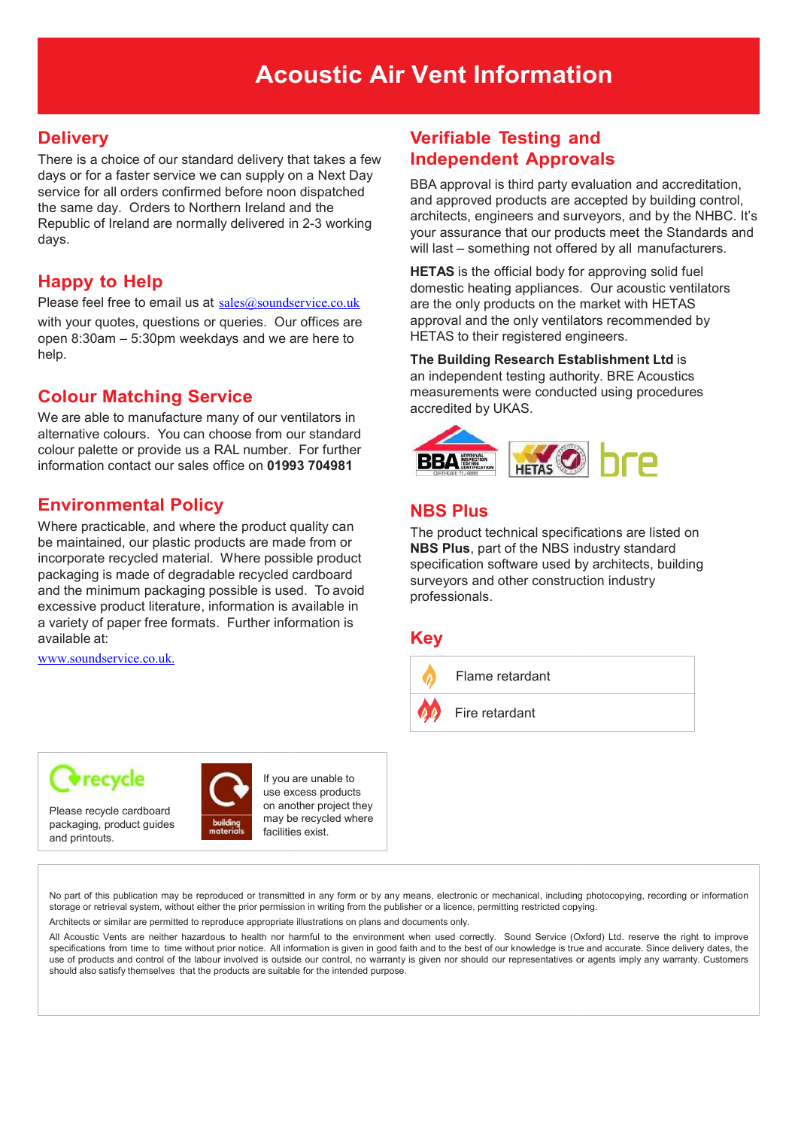#### Acoustic Air Vent Information

#### **Delivery**

There is a choice of our standard delivery that takes a few days or for a faster service we can supply on a Next Day service for all orders confirmed before noon dispatched the same day. Orders to Northern Ireland and the Republic of Ireland are normally delivered in 2-3 working days.

#### Happy to Help

Please feel free to email us at  $sales@soundservice.co.uk$ 

with your quotes, questions or queries. Our offices are open 8:30am – 5:30pm weekdays and we are here to help.

#### Colour Matching Service

We are able to manufacture many of our ventilators in alternative colours. You can choose from our standard colour palette or provide us a RAL number. For further information contact our sales office on 01993 704981

#### Environmental Policy

Where practicable, and where the product quality can be maintained, our plastic products are made from or incorporate recycled material. Where possible product packaging is made of degradable recycled cardboard and the minimum packaging possible is used. To avoid excessive product literature, information is available in a variety of paper free formats. Further information is available at:

www.soundservice.co.uk.

#### Verifiable Testing and Independent Approvals

BBA approval is third party evaluation and accreditation, and approved products are accepted by building control, architects, engineers and surveyors, and by the NHBC. It's your assurance that our products meet the Standards and will last - something not offered by all manufacturers.

**HETAS** is the official body for approving solid fuel domestic heating appliances. Our acoustic ventilators are the only products on the market with HETAS approval and the only ventilators recommended by HETAS to their registered engineers.

The Building Research Establishment Ltd is an independent testing authority. BRE Acoustics measurements were conducted using procedures accredited by UKAS.



#### NBS Plus

The product technical specifications are listed on NBS Plus, part of the NBS industry standard specification software used by architects, building surveyors and other construction industry professionals.

#### Key





Please recycle cardboard packaging, product guides and printouts.



If you are unable to use excess products on another project they may be recycled where facilities exist.

No part of this publication may be reproduced or transmitted in any form or by any means, electronic or mechanical, including photocopying, recording or information storage or retrieval system, without either the prior permission in writing from the publisher or a licence, permitting restricted copying.

Architects or similar are permitted to reproduce appropriate illustrations on plans and documents only.

All Acoustic Vents are neither hazardous to health nor harmful to the environment when used correctly. Sound Service (Oxford) Ltd. reserve the right to improve specifications from time to time without prior notice. All information is given in good faith and to the best of our knowledge is true and accurate. Since delivery dates, the use of products and control of the labour involved is outside our control, no warranty is given nor should our representatives or agents imply any warranty. Customers should also satisfy themselves that the products are suitable for the intended purpose.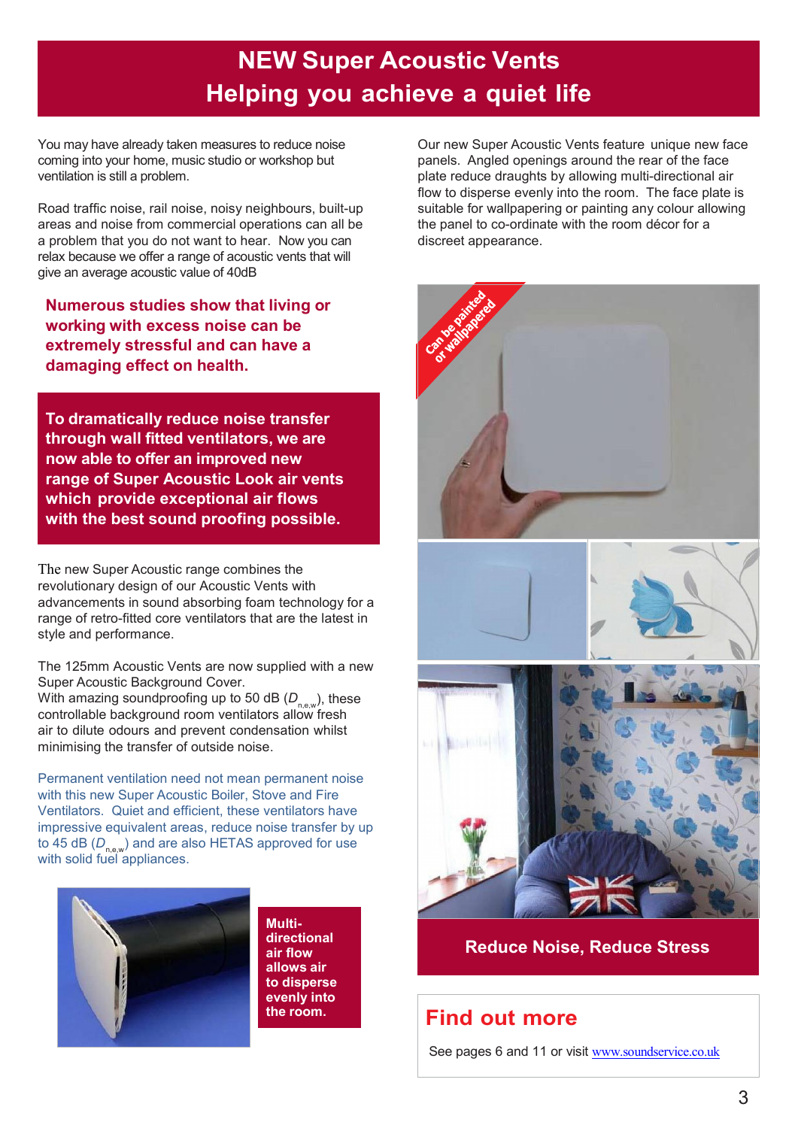## NEW Super Acoustic Vents Helping you achieve a quiet life

You may have already taken measures to reduce noise coming into your home, music studio or workshop but ventilation is still a problem.

Road traffic noise, rail noise, noisy neighbours, built-up areas and noise from commercial operations can all be a problem that you do not want to hear. Now you can relax because we offer a range of acoustic vents that will give an average acoustic value of 40dB

Numerous studies show that living or working with excess noise can be extremely stressful and can have a damaging effect on health.

To dramatically reduce noise transfer through wall fitted ventilators, we are now able to offer an improved new range of Super Acoustic Look air vents which provide exceptional air flows with the best sound proofing possible.

The new Super Acoustic range combines the revolutionary design of our Acoustic Vents with advancements in sound absorbing foam technology for a range of retro-fitted core ventilators that are the latest in style and performance.

The 125mm Acoustic Vents are now supplied with a new Super Acoustic Background Cover.

With amazing soundproofing up to 50 dB (*D*<sub>n,e,w</sub>), these controllable background room ventilators allow fresh air to dilute odours and prevent condensation whilst minimising the transfer of outside noise.

to 45 dB (*D<sub>n,e,w</sub>)* and are also HETAS approved for use Permanent ventilation need not mean permanent noise with this new Super Acoustic Boiler, Stove and Fire Ventilators. Quiet and efficient, these ventilators have impressive equivalent areas, reduce noise transfer by up with solid fuel appliances.



Multidirectional air flow allows air to disperse evenly into

Our new Super Acoustic Vents feature unique new face panels. Angled openings around the rear of the face plate reduce draughts by allowing multi-directional air flow to disperse evenly into the room. The face plate is suitable for wallpapering or painting any colour allowing the panel to co-ordinate with the room décor for a discreet appearance.



Reduce Noise, Reduce Stress

#### the room. Find out more

See pages 6 and 11 or visit www.soundservice.co.uk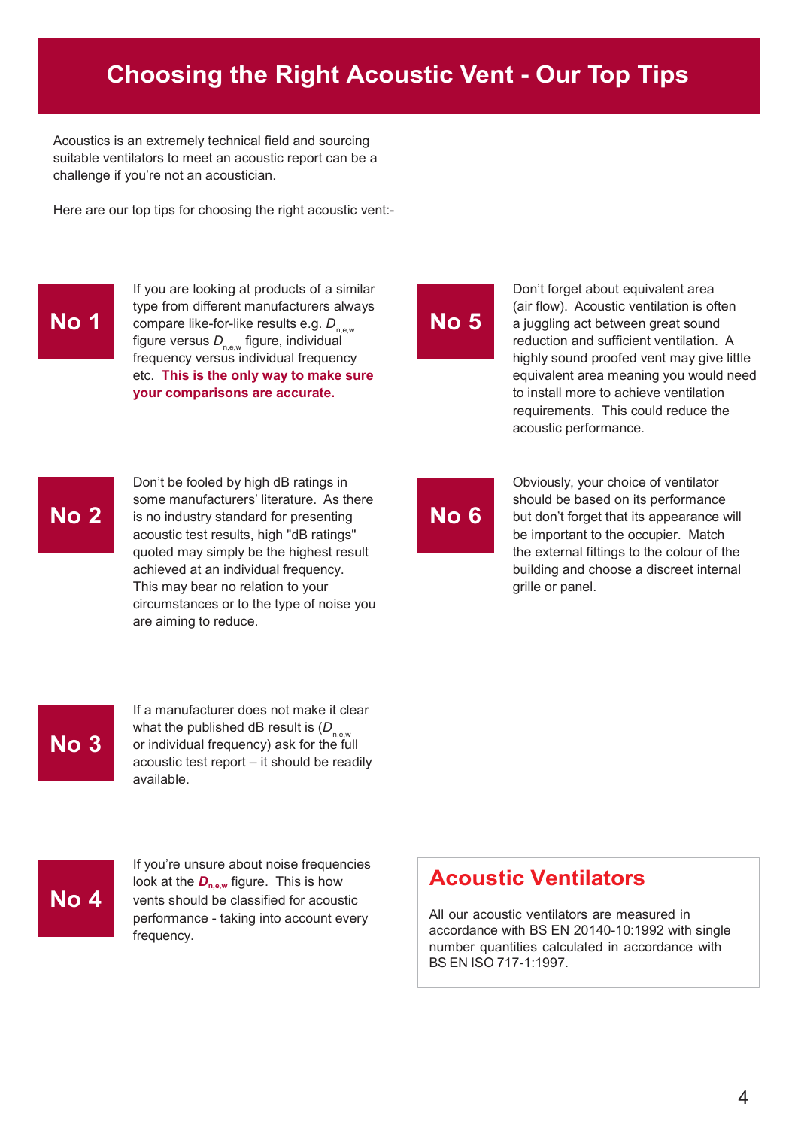#### Choosing the Right Acoustic Vent - Our Top Tips

Acoustics is an extremely technical field and sourcing suitable ventilators to meet an acoustic report can be a challenge if you're not an acoustician.

Here are our top tips for choosing the right acoustic vent:-

#### No 1

compare like-for-like results e.g. *D*<sub>n.e,w</sub> No 5 If you are looking at products of a similar type from different manufacturers always figure versus D<sub>n,e,w</sub> figure, individual reduction and sufficient ventilation. A frequency versus individual frequency etc. This is the only way to make sure your comparisons are accurate.

Don't forget about equivalent area (air flow). Acoustic ventilation is often a juggling act between great sound highly sound proofed vent may give little equivalent area meaning you would need to install more to achieve ventilation requirements. This could reduce the acoustic performance.

#### No 2

Don't be fooled by high dB ratings in some manufacturers' literature. As there is no industry standard for presenting acoustic test results, high "dB ratings" quoted may simply be the highest result achieved at an individual frequency. This may bear no relation to your circumstances or to the type of noise you are aiming to reduce.

# No 6

Obviously, your choice of ventilator should be based on its performance but don't forget that its appearance will be important to the occupier. Match the external fittings to the colour of the building and choose a discreet internal grille or panel.



If a manufacturer does not make it clear what the published dB result is (D<sub>new</sub> No 3 or individual frequency) ask for the full acoustic test report – it should be readily available.

If you're unsure about noise frequencies look at the *D<sub>n,e,w</sub>* figure. This is how **Acoustic Ventilators** No 4 vents should be classified for acoustic performance - taking into account every frequency.

All our acoustic ventilators are measured in accordance with BS EN 20140-10:1992 with single number quantities calculated in accordance with BS EN ISO 717-1:1997.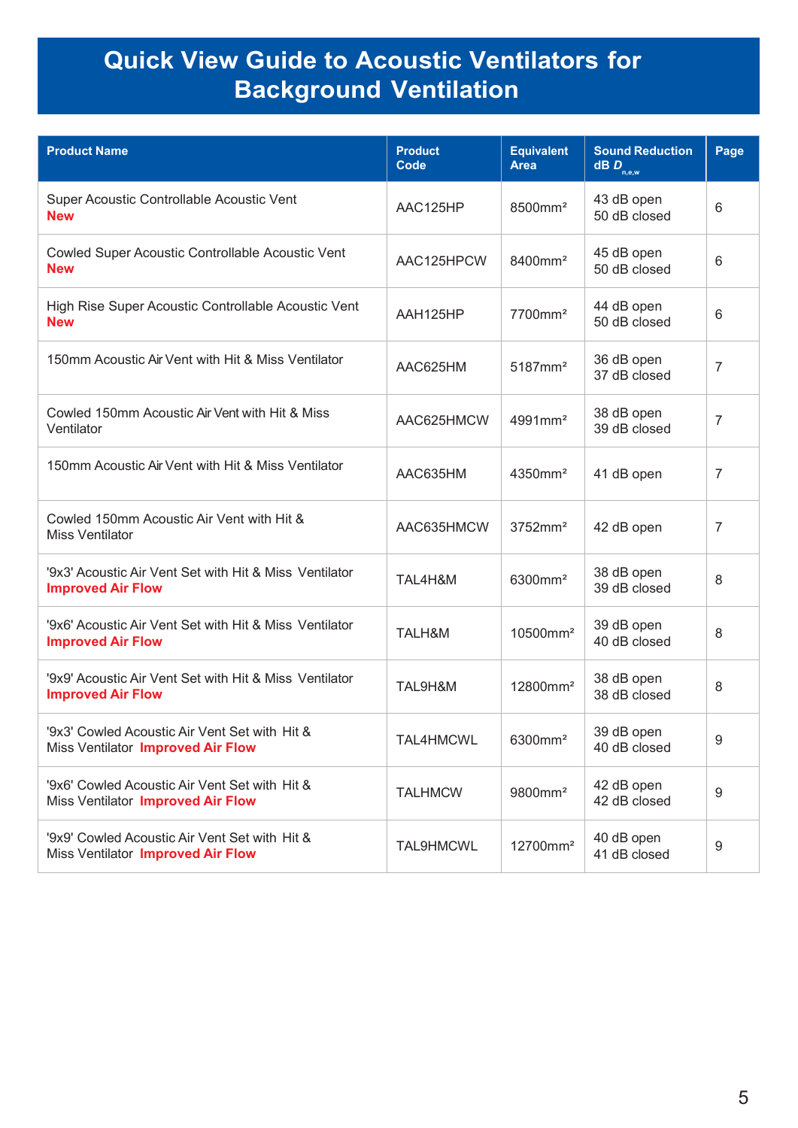## Quick View Guide to Acoustic Ventilators for Background Ventilation

| <b>Product Name</b>                                                                | <b>Product</b><br>Code | <b>Equivalent</b><br><b>Area</b> | <b>Sound Reduction</b><br>$\overline{\mathbf{dB}}$ $\overline{\mathbf{D}}_{\mathsf{n},\mathsf{e},\mathsf{w}}$ | Page             |
|------------------------------------------------------------------------------------|------------------------|----------------------------------|---------------------------------------------------------------------------------------------------------------|------------------|
| Super Acoustic Controllable Acoustic Vent<br><b>New</b>                            | AAC125HP               | 8500mm <sup>2</sup>              | 43 dB open<br>50 dB closed                                                                                    | 6                |
| Cowled Super Acoustic Controllable Acoustic Vent<br><b>New</b>                     | AAC125HPCW             | 8400mm <sup>2</sup>              | 45 dB open<br>50 dB closed                                                                                    | 6                |
| High Rise Super Acoustic Controllable Acoustic Vent<br><b>New</b>                  | AAH125HP               | 7700mm <sup>2</sup>              | 44 dB open<br>50 dB closed                                                                                    | 6                |
| 150mm Acoustic Air Vent with Hit & Miss Ventilator                                 | AAC625HM               | 5187mm <sup>2</sup>              | 36 dB open<br>37 dB closed                                                                                    | $\overline{7}$   |
| Cowled 150mm Acoustic Air Vent with Hit & Miss<br>Ventilator                       | AAC625HMCW             | 4991mm <sup>2</sup>              | 38 dB open<br>39 dB closed                                                                                    | 7                |
| 150mm Acoustic Air Vent with Hit & Miss Ventilator                                 | AAC635HM               | 4350mm <sup>2</sup>              | 41 dB open                                                                                                    | 7                |
| Cowled 150mm Acoustic Air Vent with Hit &<br><b>Miss Ventilator</b>                | AAC635HMCW             | $3752$ mm <sup>2</sup>           | 42 dB open                                                                                                    | 7                |
| '9x3' Acoustic Air Vent Set with Hit & Miss Ventilator<br><b>Improved Air Flow</b> | TAL4H&M                | 6300mm <sup>2</sup>              | 38 dB open<br>39 dB closed                                                                                    | 8                |
| '9x6' Acoustic Air Vent Set with Hit & Miss Ventilator<br><b>Improved Air Flow</b> | TALH&M                 | 10500mm <sup>2</sup>             | 39 dB open<br>40 dB closed                                                                                    | 8                |
| '9x9' Acoustic Air Vent Set with Hit & Miss Ventilator<br><b>Improved Air Flow</b> | TAL9H&M                | 12800mm <sup>2</sup>             | 38 dB open<br>38 dB closed                                                                                    | 8                |
| '9x3' Cowled Acoustic Air Vent Set with Hit &<br>Miss Ventilator Improved Air Flow | TAL4HMCWL              | 6300mm <sup>2</sup>              | 39 dB open<br>40 dB closed                                                                                    | 9                |
| '9x6' Cowled Acoustic Air Vent Set with Hit &<br>Miss Ventilator Improved Air Flow | <b>TALHMCW</b>         | 9800mm <sup>2</sup>              | 42 dB open<br>42 dB closed                                                                                    | $\boldsymbol{9}$ |
| '9x9' Cowled Acoustic Air Vent Set with Hit &<br>Miss Ventilator Improved Air Flow | <b>TAL9HMCWL</b>       | 12700mm <sup>2</sup>             | 40 dB open<br>41 dB closed                                                                                    | 9                |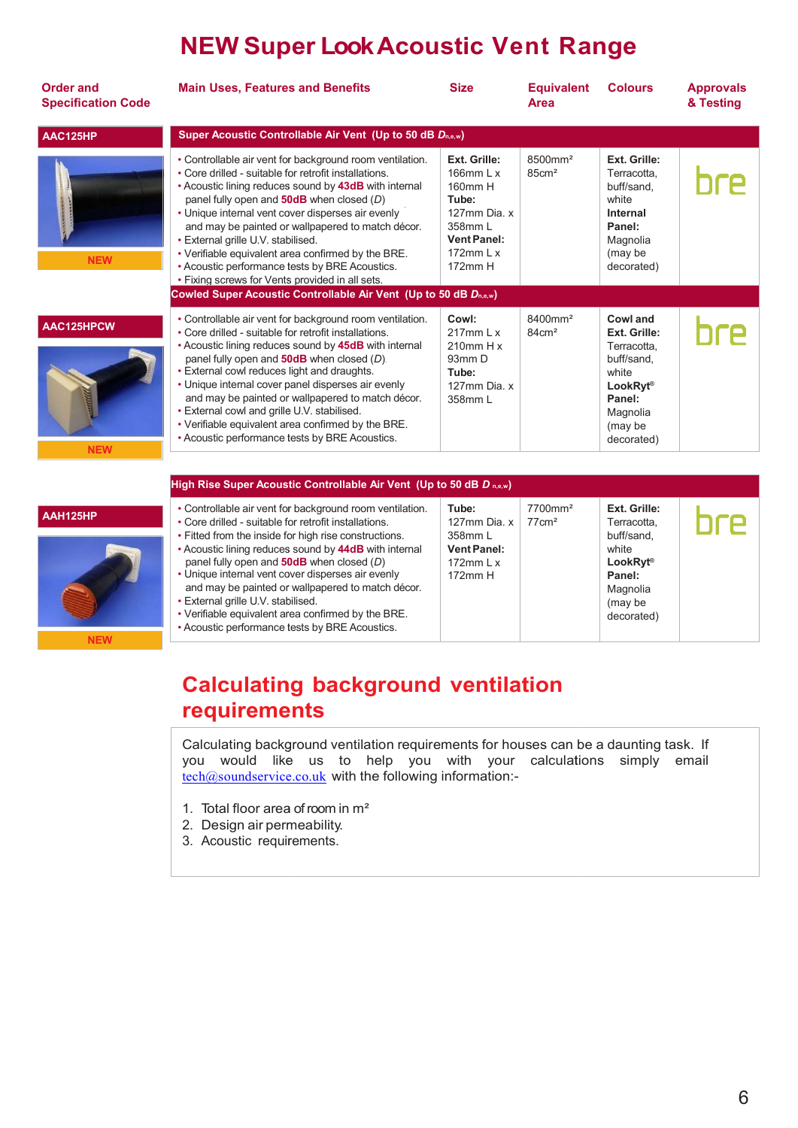## NEW Super Look Acoustic Vent R Range

| <b>Order and</b><br><b>Specification Code</b> | <b>Main Uses, Features and Benefits</b>                                                                                                                                                                                                                                                                                                                                                                                                                                                                                                                                                                    | <b>Size</b>                                                                                                                   | <b>Equivalent</b><br><b>Area</b>         | <b>Colours</b>                                                                                                                   | <b>Approvals</b><br>& Testing |
|-----------------------------------------------|------------------------------------------------------------------------------------------------------------------------------------------------------------------------------------------------------------------------------------------------------------------------------------------------------------------------------------------------------------------------------------------------------------------------------------------------------------------------------------------------------------------------------------------------------------------------------------------------------------|-------------------------------------------------------------------------------------------------------------------------------|------------------------------------------|----------------------------------------------------------------------------------------------------------------------------------|-------------------------------|
| AAC125HP                                      | Super Acoustic Controllable Air Vent (Up to 50 dB Dn,e,w)                                                                                                                                                                                                                                                                                                                                                                                                                                                                                                                                                  |                                                                                                                               |                                          |                                                                                                                                  |                               |
| <b>NEW</b>                                    | • Controllable air vent for background room ventilation.<br>• Core drilled - suitable for retrofit installations.<br>• Acoustic lining reduces sound by 43dB with internal<br>panel fully open and $50dB$ when closed $(D)$<br>• Unique internal vent cover disperses air evenly<br>and may be painted or wallpapered to match décor.<br>• External grille U.V. stabilised.<br>• Verifiable equivalent area confirmed by the BRE.<br>• Acoustic performance tests by BRE Acoustics.<br>• Fixing screws for Vents provided in all sets.<br>Cowled Super Acoustic Controllable Air Vent (Up to 50 dB Dn,e,w) | Ext. Grille:<br>166 $mm$ L x<br>160mm H<br>Tube:<br>127mm Dia x<br>358mm L<br><b>Vent Panel:</b><br>172 $mm$ L $x$<br>172mm H | 8500mm <sup>2</sup><br>85cm <sup>2</sup> | Ext. Grille:<br>Terracotta.<br>buff/sand,<br>white<br>Internal<br>Panel:<br>Magnolia<br>(may be<br>decorated)                    |                               |
| AAC125HPCW<br><b>NEW</b>                      | • Controllable air vent for background room ventilation.<br>• Core drilled - suitable for retrofit installations.<br>• Acoustic lining reduces sound by 45dB with internal<br>panel fully open and $50dB$ when closed $(D)$ .<br>• External cowl reduces light and draughts.<br>• Unique internal cover panel disperses air evenly<br>and may be painted or wallpapered to match décor.<br>• External cowl and grille U.V. stabilised.<br>• Verifiable equivalent area confirmed by the BRE.<br>• Acoustic performance tests by BRE Acoustics.                                                             | Cowl:<br>$217$ mm L x<br>$210$ mm H $x$<br>93mm D<br>Tube:<br>127mm Dia. x<br>358mm L                                         | 8400mm <sup>2</sup><br>$84 \text{cm}^2$  | Cowl and<br>Ext. Grille:<br>Terracotta.<br>buff/sand.<br>white<br><b>LookRyt®</b><br>Panel:<br>Magnolia<br>(may be<br>decorated) |                               |
|                                               | High Rise Super Acoustic Controllable Air Vent (Up to 50 dB D n,e,w)                                                                                                                                                                                                                                                                                                                                                                                                                                                                                                                                       |                                                                                                                               |                                          |                                                                                                                                  |                               |
| AAH125HP<br><b>NEW</b>                        | • Controllable air vent for background room ventilation.<br>• Core drilled - suitable for retrofit installations.<br>• Fitted from the inside for high rise constructions.<br>• Acoustic lining reduces sound by 44dB with internal<br>panel fully open and $50dB$ when closed (D)<br>• Unique internal vent cover disperses air evenly<br>and may be painted or wallpapered to match décor.<br>• External grille U.V. stabilised.<br>• Verifiable equivalent area confirmed by the BRE.<br>• Acoustic performance tests by BRE Acoustics.                                                                 | Tube:<br>127mm Dia. x<br>358mm L<br><b>Vent Panel:</b><br>172 $mm$ L $x$<br>172mm H                                           | 7700mm <sup>2</sup><br>$77 \text{cm}^2$  | Ext. Grille:<br>Terracotta,<br>buff/sand,<br>white<br>LookRyt <sup>®</sup><br>Panel:<br>Magnolia<br>(may be<br>decorated)        |                               |

#### Calculating background ventilation requirements

Calculating background ventilation requirements for houses can be a daunting task. If you would like e us to help you with your calculations simply emailtech@soundservice.co.uk with the following information:-

- 1. Total floor area of room in  $m<sup>2</sup>$
- 2. Design air permeability.
- 3. Acoustic requirements.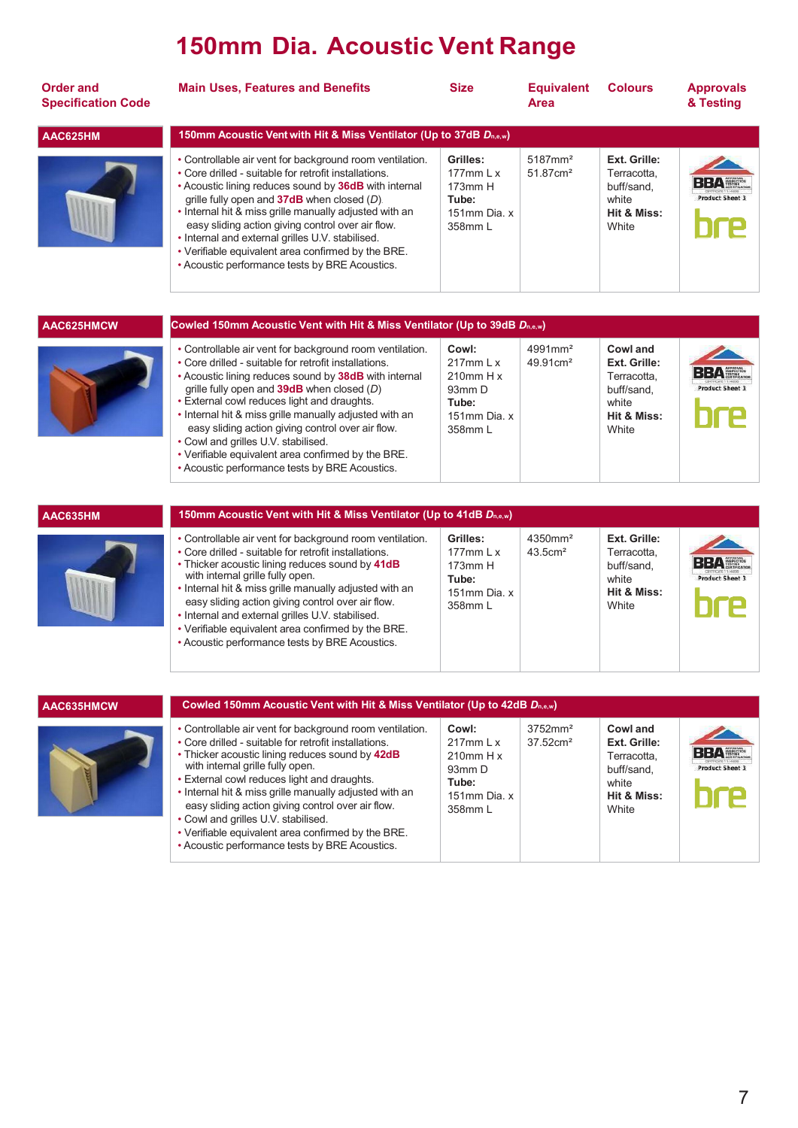## 150mm Dia. Acoustic Vent Range

| <b>Order and</b><br><b>Specification Code</b> | <b>Main Uses, Features and Benefits</b>                                                                                                                                                                                                                                                                                                                                                                                                                                                              | <b>Size</b>                                                                  | <b>Equivalent</b><br><b>Area</b>                  | <b>Colours</b>                                                             | <b>Approvals</b><br>& Testing |
|-----------------------------------------------|------------------------------------------------------------------------------------------------------------------------------------------------------------------------------------------------------------------------------------------------------------------------------------------------------------------------------------------------------------------------------------------------------------------------------------------------------------------------------------------------------|------------------------------------------------------------------------------|---------------------------------------------------|----------------------------------------------------------------------------|-------------------------------|
| AAC625HM                                      | 150mm Acoustic Vent with Hit & Miss Ventilator (Up to 37dB D <sub>n.e.w</sub> )                                                                                                                                                                                                                                                                                                                                                                                                                      |                                                                              |                                                   |                                                                            |                               |
|                                               | • Controllable air vent for background room ventilation.<br>• Core drilled - suitable for retrofit installations.<br>• Acoustic lining reduces sound by 36dB with internal<br>grille fully open and 37dB when closed (D).<br>• Internal hit & miss grille manually adjusted with an<br>easy sliding action giving control over air flow.<br>• Internal and external grilles U.V. stabilised.<br>• Verifiable equivalent area confirmed by the BRE.<br>• Acoustic performance tests by BRE Acoustics. | Grilles:<br>177 $mm L x$<br>$173$ mm $H$<br>Tube:<br>151mm Dia. x<br>358mm L | $5187$ mm <sup>2</sup><br>$51.87$ cm <sup>2</sup> | Ext. Grille:<br>Terracotta,<br>buff/sand,<br>white<br>Hit & Miss:<br>White | <b>Product Sheet 3</b>        |
| AAC625HMCW                                    | Cowled 150mm Acoustic Vent with Hit & Miss Ventilator (Up to 39dB D <sub>n,e,w</sub> )                                                                                                                                                                                                                                                                                                                                                                                                               |                                                                              |                                                   |                                                                            |                               |
|                                               | • Controllable air vent for background room ventilation.<br>• Core drilled - suitable for retrofit installations.<br>• Acoustic lining reduces sound by 38dB with internal<br>$\alpha$ (D) head and $\alpha$ (B) $\alpha$ (B) $\alpha$ (B) $\alpha$                                                                                                                                                                                                                                                  | Cowl:<br>$217$ mm L x<br>$210$ mm H x<br>$03mm$ D                            | $4991$ mm <sup>2</sup><br>$49.91 \text{cm}^2$     | Cowl and<br>Ext. Grille:<br>Terracotta,<br>huff/cand                       | <b>Product Sheet 3</b>        |

- grille fully open and 39dB • External cowl reduces when closed (*D*) light and draughts.
- Internal hit & miss grille manually adjusted with an easy sliding action giving control over air flow.
- Cowl and grilles U.V. stabilised.
- Verifiable equivalent area confirmed by the BRE.
- Acoustic performance tests by BRE Acoustics.

| lation. | Cowl:                    | 4991mm <sup>2</sup>  | Cowl and                  |         |
|---------|--------------------------|----------------------|---------------------------|---------|
|         | $217$ mm L x             | 49.91cm <sup>2</sup> | Ext. Grille:              |         |
| ernal   | $210$ mm H $x$<br>93mm D |                      | Terracotta,<br>buff/sand. | Product |
|         | Tube:                    |                      | white                     |         |
| an      | 151mm Dia. x             |                      | Hit & Miss:               |         |
|         | 358mm L                  |                      | White                     |         |
| Ξ.      |                          |                      |                           |         |
|         |                          |                      |                           |         |

| AAC635HM | 150mm Acoustic Vent with Hit & Miss Ventilator (Up to 41dB Dn.e.w)                                                                                                                                                                                                                                                                                                                                                                                                                  |                                                                             |                                                  |                                                                            |                                      |
|----------|-------------------------------------------------------------------------------------------------------------------------------------------------------------------------------------------------------------------------------------------------------------------------------------------------------------------------------------------------------------------------------------------------------------------------------------------------------------------------------------|-----------------------------------------------------------------------------|--------------------------------------------------|----------------------------------------------------------------------------|--------------------------------------|
|          | • Controllable air vent for background room ventilation.<br>• Core drilled - suitable for retrofit installations.<br>• Thicker acoustic lining reduces sound by 41dB<br>with internal grille fully open.<br>• Internal hit & miss grille manually adjusted with an<br>easy sliding action giving control over air flow.<br>• Internal and external grilles U.V. stabilised.<br>• Verifiable equivalent area confirmed by the BRE.<br>• Acoustic performance tests by BRE Acoustics. | Grilles:<br>$177mm$   x<br>$173$ mm $H$<br>Tube:<br>151mm Dia. x<br>358mm L | $4350$ mm <sup>2</sup><br>$43.5$ cm <sup>2</sup> | Ext. Grille:<br>Terracotta.<br>buff/sand.<br>white<br>Hit & Miss:<br>White | <b>BBA</b><br><b>Product Sheet 3</b> |

| AAC635HMCW | Cowled 150mm Acoustic Vent with Hit & Miss Ventilator (Up to 42dB $D_{n,\alpha,w}$ )                                                                                                                                                                                                                                                                                                                                                                                                                                  |                                                                                                |                                               |                                                                                        |                                      |
|------------|-----------------------------------------------------------------------------------------------------------------------------------------------------------------------------------------------------------------------------------------------------------------------------------------------------------------------------------------------------------------------------------------------------------------------------------------------------------------------------------------------------------------------|------------------------------------------------------------------------------------------------|-----------------------------------------------|----------------------------------------------------------------------------------------|--------------------------------------|
|            | • Controllable air vent for background room ventilation.<br>• Core drilled - suitable for retrofit installations.<br>• Thicker acoustic lining reduces sound by 42dB<br>with internal grille fully open.<br>• External cowl reduces light and draughts.<br>• Internal hit & miss grille manually adjusted with an<br>easy sliding action giving control over air flow.<br>• Cowl and grilles U.V. stabilised.<br>• Verifiable equivalent area confirmed by the BRE.<br>• Acoustic performance tests by BRE Acoustics. | Cowl:<br>$217$ mm L x<br>$210$ mm H x<br>$93mm$ D<br>Tube:<br>151mm Dia. x<br>$358$ mm $\vert$ | $3752$ mm <sup>2</sup><br>$37.52 \text{cm}^2$ | Cowl and<br>Ext. Grille:<br>Terracotta.<br>buff/sand.<br>white<br>Hit & Miss:<br>White | <b>RRA</b><br><b>Product Sheet 3</b> |

Р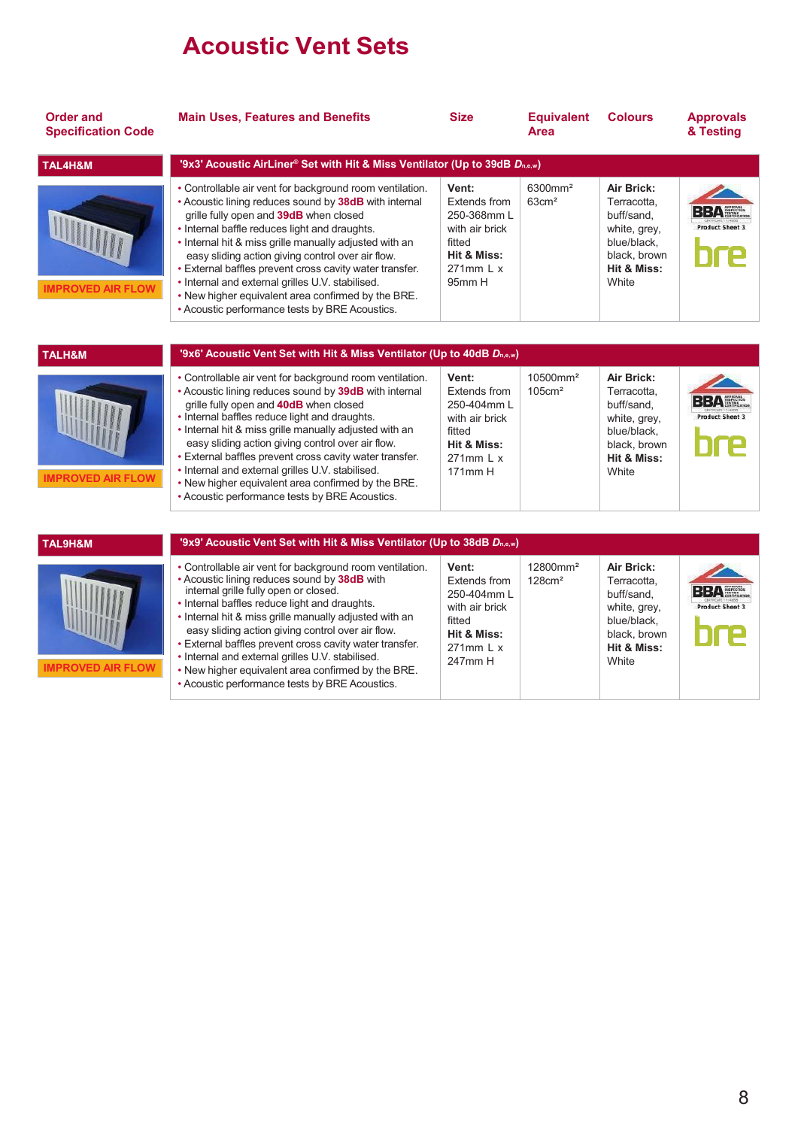### Acoustic Vent Sets

| <b>Order and</b><br><b>Specification Code</b> | <b>Main Uses, Features and Benefits</b>                                                                                                                                                                                                                                                                                                                                                                                                                                                                                                            | <b>Size</b>                                                                                                    | <b>Equivalent</b><br>Area                  | <b>Colours</b>                                                                                                 | <b>Approvals</b><br>& Testing        |
|-----------------------------------------------|----------------------------------------------------------------------------------------------------------------------------------------------------------------------------------------------------------------------------------------------------------------------------------------------------------------------------------------------------------------------------------------------------------------------------------------------------------------------------------------------------------------------------------------------------|----------------------------------------------------------------------------------------------------------------|--------------------------------------------|----------------------------------------------------------------------------------------------------------------|--------------------------------------|
| TAL4H&M                                       | '9x3' Acoustic AirLiner® Set with Hit & Miss Ventilator (Up to 39dB Dn,e,w)                                                                                                                                                                                                                                                                                                                                                                                                                                                                        |                                                                                                                |                                            |                                                                                                                |                                      |
| <b>IMPROVED AIR FLOW</b>                      | • Controllable air vent for background room ventilation.<br>• Acoustic lining reduces sound by 38dB with internal<br>grille fully open and 39dB when closed<br>• Internal baffle reduces light and draughts.<br>• Internal hit & miss grille manually adjusted with an<br>easy sliding action giving control over air flow.<br>· External baffles prevent cross cavity water transfer.<br>• Internal and external grilles U.V. stabilised.<br>. New higher equivalent area confirmed by the BRE.<br>• Acoustic performance tests by BRE Acoustics. | Vent:<br>Extends from<br>250-368mm L<br>with air brick<br>fitted<br>Hit & Miss:<br>$271$ mm L x<br>95mm H      | 6300mm <sup>2</sup><br>$63 \text{cm}^2$    | Air Brick:<br>Terracotta.<br>buff/sand.<br>white, grey,<br>blue/black,<br>black, brown<br>Hit & Miss:<br>White | BBA#<br><b>Product Sheet 3</b>       |
|                                               |                                                                                                                                                                                                                                                                                                                                                                                                                                                                                                                                                    |                                                                                                                |                                            |                                                                                                                |                                      |
| <b>TALH&amp;M</b>                             | '9x6' Acoustic Vent Set with Hit & Miss Ventilator (Up to 40dB Dn,e,w)                                                                                                                                                                                                                                                                                                                                                                                                                                                                             |                                                                                                                |                                            |                                                                                                                |                                      |
| <b>IMPROVED AIR FLOW</b>                      | • Controllable air vent for background room ventilation.<br>• Acoustic lining reduces sound by 39dB with internal<br>grille fully open and 40dB when closed<br>. Internal baffles reduce light and draughts.<br>• Internal hit & miss grille manually adjusted with an<br>easy sliding action giving control over air flow.<br>. External baffles prevent cross cavity water transfer.<br>• Internal and external grilles U.V. stabilised.<br>. New higher equivalent area confirmed by the BRE.<br>• Acoustic performance tests by BRE Acoustics. | Vent:<br><b>Extends from</b><br>250-404mm L<br>with air brick<br>fitted<br>Hit & Miss:<br>271mm L x<br>171mm H | 10500mm <sup>2</sup><br>105cm <sup>2</sup> | Air Brick:<br>Terracotta,<br>buff/sand.<br>white, grey,<br>blue/black,<br>black, brown<br>Hit & Miss:<br>White | <b>BBA</b><br><b>Product Sheet 3</b> |
|                                               |                                                                                                                                                                                                                                                                                                                                                                                                                                                                                                                                                    |                                                                                                                |                                            |                                                                                                                |                                      |
| TAL9H&M                                       | '9x9' Acoustic Vent Set with Hit & Miss Ventilator (Up to 38dB Dn,e,w)                                                                                                                                                                                                                                                                                                                                                                                                                                                                             |                                                                                                                |                                            |                                                                                                                |                                      |
| <b>IMPROVED AIR FLOW</b>                      | • Controllable air vent for background room ventilation.<br>• Acoustic lining reduces sound by 38dB with<br>internal grille fully open or closed.<br>• Internal baffles reduce light and draughts.<br>• Internal hit & miss grille manually adjusted with an<br>easy sliding action giving control over air flow.<br>• External baffles prevent cross cavity water transfer.<br>• Internal and external grilles U.V. stabilised.<br>. New higher equivalent area confirmed by the BRE.<br>• Acoustic performance tests by BRE Acoustics.           | Vent:<br>Extends from<br>250-404mm L<br>with air brick<br>fitted<br>Hit & Miss:<br>271mm L x<br>247mm H        | 12800mm <sup>2</sup><br>$128 \text{cm}^2$  | Air Brick:<br>Terracotta.<br>buff/sand.<br>white, grey,<br>blue/black,<br>black, brown<br>Hit & Miss:<br>White | <b>BBA</b><br><b>Product Sheet 3</b> |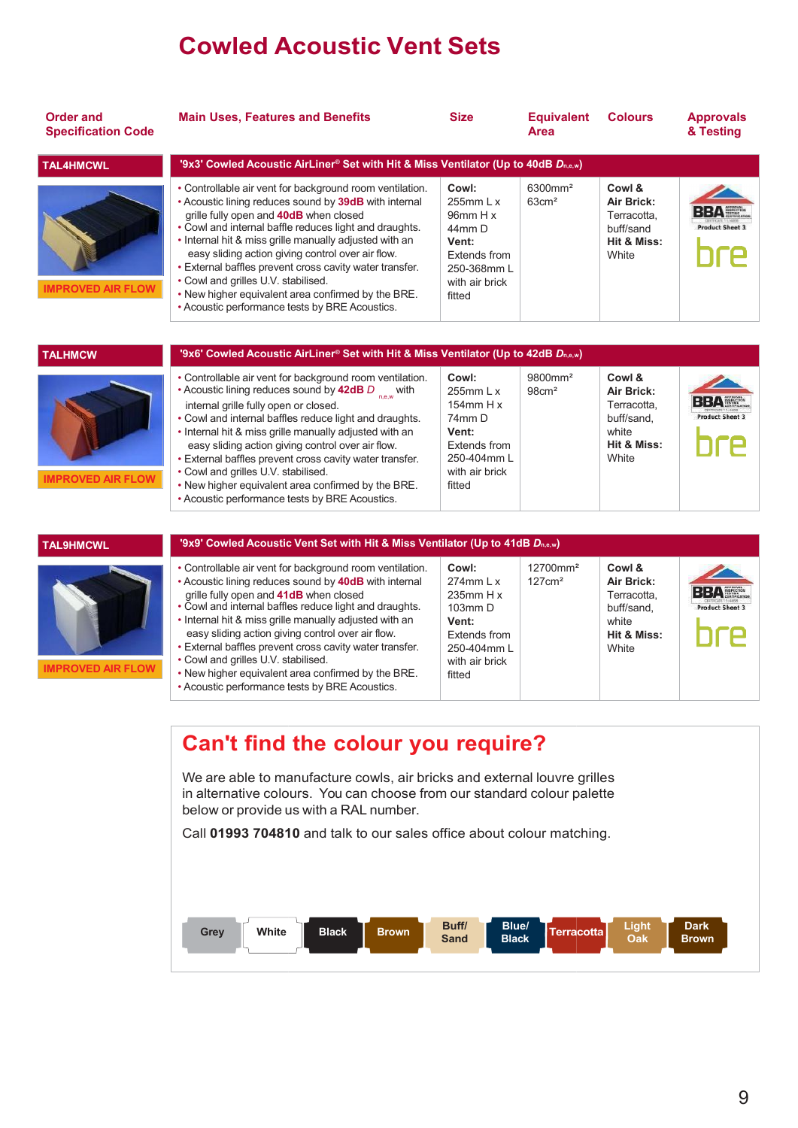## Cowled Acoustic Vent Sets

| <b>Order and</b><br><b>Specification Code</b> | <b>Main Uses, Features and Benefits</b>                                                                                                                                                                                                                                                                                                                                                                                                                                                                                                          | <b>Size</b>                                                                                                               | <b>Equivalent</b><br>Area                 | <b>Colours</b>                                                                     | <b>Approvals</b><br>& Testing        |
|-----------------------------------------------|--------------------------------------------------------------------------------------------------------------------------------------------------------------------------------------------------------------------------------------------------------------------------------------------------------------------------------------------------------------------------------------------------------------------------------------------------------------------------------------------------------------------------------------------------|---------------------------------------------------------------------------------------------------------------------------|-------------------------------------------|------------------------------------------------------------------------------------|--------------------------------------|
| <b>TAL4HMCWL</b>                              | '9x3' Cowled Acoustic AirLiner® Set with Hit & Miss Ventilator (Up to 40dB Dn,e,w)                                                                                                                                                                                                                                                                                                                                                                                                                                                               |                                                                                                                           |                                           |                                                                                    |                                      |
| <b>IMPROVED AIR FLOW</b>                      | • Controllable air vent for background room ventilation.<br>• Acoustic lining reduces sound by 39dB with internal<br>grille fully open and 40dB when closed<br>. Cowl and internal baffle reduces light and draughts.<br>• Internal hit & miss grille manually adjusted with an<br>easy sliding action giving control over air flow.<br>· External baffles prevent cross cavity water transfer.<br>• Cowl and grilles U.V. stabilised.<br>. New higher equivalent area confirmed by the BRE.<br>• Acoustic performance tests by BRE Acoustics.   | Cowl:<br>255 $mm L x$<br>96mm H x<br>44mm D<br>Vent:<br>Extends from<br>250-368mm L<br>with air brick<br>fitted           | 6300mm <sup>2</sup><br>$63 \text{cm}^2$   | Cowl &<br>Air Brick:<br>Terracotta.<br>buff/sand<br>Hit & Miss:<br>White           | <b>BBA</b><br><b>Product Sheet 3</b> |
|                                               |                                                                                                                                                                                                                                                                                                                                                                                                                                                                                                                                                  |                                                                                                                           |                                           |                                                                                    |                                      |
| <b>TALHMCW</b>                                | '9x6' Cowled Acoustic AirLiner® Set with Hit & Miss Ventilator (Up to 42dB Dn,e,w)                                                                                                                                                                                                                                                                                                                                                                                                                                                               |                                                                                                                           |                                           |                                                                                    |                                      |
| <b>IMPROVED AIR FLOW</b>                      | • Controllable air vent for background room ventilation.<br>• Acoustic lining reduces sound by 42dB $D_{n,e,w}$ with<br>internal grille fully open or closed.<br>• Cowl and internal baffles reduce light and draughts.<br>• Internal hit & miss grille manually adjusted with an<br>easy sliding action giving control over air flow.<br>· External baffles prevent cross cavity water transfer.<br>• Cowl and grilles U.V. stabilised.<br>. New higher equivalent area confirmed by the BRE.<br>• Acoustic performance tests by BRE Acoustics. | Cowl:<br>255mm L x<br>154 $mm$ H $x$<br>74mm D<br>Vent:<br><b>Extends from</b><br>250-404mm L<br>with air brick<br>fitted | 9800mm <sup>2</sup><br>$98 \text{cm}^2$   | Cowl &<br>Air Brick:<br>Terracotta.<br>buff/sand.<br>white<br>Hit & Miss:<br>White | BΒΔ<br><b>Product Sheet 3</b>        |
|                                               |                                                                                                                                                                                                                                                                                                                                                                                                                                                                                                                                                  |                                                                                                                           |                                           |                                                                                    |                                      |
| <b>TAL9HMCWL</b>                              | '9x9' Cowled Acoustic Vent Set with Hit & Miss Ventilator (Up to 41dB Dn,e,w)                                                                                                                                                                                                                                                                                                                                                                                                                                                                    |                                                                                                                           |                                           |                                                                                    |                                      |
| <b>IMPROVED AIR FLOW</b>                      | • Controllable air vent for background room ventilation.<br>• Acoustic lining reduces sound by 40dB with internal<br>grille fully open and 41dB when closed<br>• Cowl and internal baffles reduce light and draughts.<br>• Internal hit & miss grille manually adjusted with an<br>easy sliding action giving control over air flow.<br>• External baffles prevent cross cavity water transfer.<br>• Cowl and grilles U.V. stabilised.<br>. New higher equivalent area confirmed by the BRE.<br>• Acoustic performance tests by BRE Acoustics.   | Cowl:<br>$274$ mm L x<br>$235$ mm H x<br>103mm D<br>Vent:<br>Extends from<br>250-404mm L<br>with air brick<br>fitted      | 12700mm <sup>2</sup><br>$127 \text{cm}^2$ | Cowl &<br>Air Brick:<br>Terracotta.<br>buff/sand.<br>white<br>Hit & Miss:<br>White | BBAH<br><b>Product Sheet 3</b>       |

#### Can't find the colour you require?

We are able to manufacture cowls, air bricks and external louvre grilles in alternative colours. You can choose from our standard colour palette below or provide us with a RAL number.

Call 01993 704810 and talk to our sales office about colour matching.

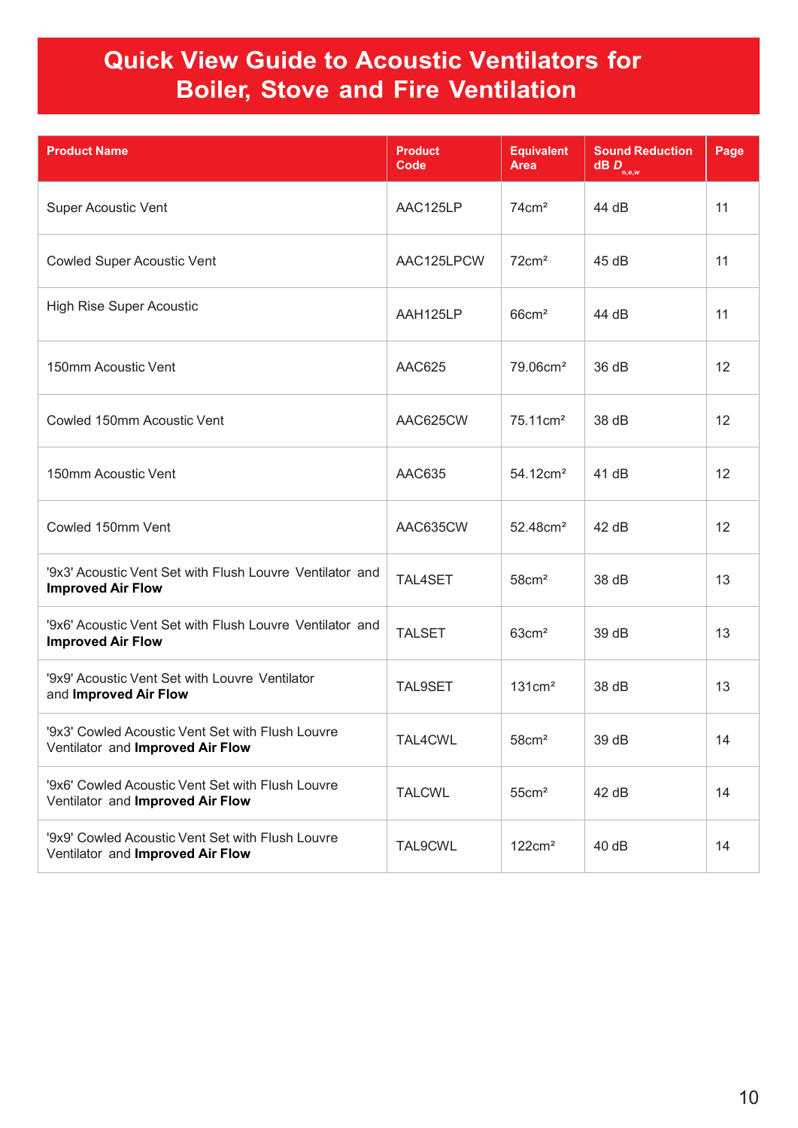### Quick View Guide to Acoustic Ventilators for Boiler, Stove and Fire Ventilation

| <b>Product Name</b>                                                                  | <b>Product</b><br>Code | <b>Equivalent</b><br><b>Area</b> | <b>Sound Reduction</b><br>$\mathbf{dB}$ $\mathbf{D}_{_{\mathbf{n},\mathbf{e},\mathbf{w}}}$ | Page |
|--------------------------------------------------------------------------------------|------------------------|----------------------------------|--------------------------------------------------------------------------------------------|------|
| <b>Super Acoustic Vent</b>                                                           | AAC125LP               | 74cm <sup>2</sup>                | 44 dB                                                                                      | 11   |
| <b>Cowled Super Acoustic Vent</b>                                                    | AAC125LPCW             | 72cm <sup>2</sup>                | 45 dB                                                                                      | 11   |
| <b>High Rise Super Acoustic</b>                                                      | AAH125LP               | $66$ cm <sup>2</sup>             | 44 dB                                                                                      | 11   |
| 150mm Acoustic Vent                                                                  | <b>AAC625</b>          | 79.06cm <sup>2</sup>             | 36 dB                                                                                      | 12   |
| Cowled 150mm Acoustic Vent                                                           | AAC625CW               | 75.11cm <sup>2</sup>             | 38 dB                                                                                      | 12   |
| 150mm Acoustic Vent                                                                  | AAC635                 | 54.12cm <sup>2</sup>             | 41 dB                                                                                      | 12   |
| Cowled 150mm Vent                                                                    | AAC635CW               | 52.48cm <sup>2</sup>             | 42 dB                                                                                      | 12   |
| '9x3' Acoustic Vent Set with Flush Louvre Ventilator and<br><b>Improved Air Flow</b> | TAL4SET                | 58cm <sup>2</sup>                | 38 dB                                                                                      | 13   |
| '9x6' Acoustic Vent Set with Flush Louvre Ventilator and<br><b>Improved Air Flow</b> | <b>TALSET</b>          | $63 \text{cm}^2$                 | 39 dB                                                                                      | 13   |
| '9x9' Acoustic Vent Set with Louvre Ventilator<br>and Improved Air Flow              | TAL9SET                | 131cm <sup>2</sup>               | 38 dB                                                                                      | 13   |
| '9x3' Cowled Acoustic Vent Set with Flush Louvre<br>Ventilator and Improved Air Flow | TAL4CWL                | $58 \text{cm}^2$                 | 39 dB                                                                                      | 14   |
| '9x6' Cowled Acoustic Vent Set with Flush Louvre<br>Ventilator and Improved Air Flow | <b>TALCWL</b>          | 55cm <sup>2</sup>                | 42 dB                                                                                      | 14   |
| '9x9' Cowled Acoustic Vent Set with Flush Louvre<br>Ventilator and Improved Air Flow | TAL9CWL                | 122cm <sup>2</sup>               | 40 dB                                                                                      | 14   |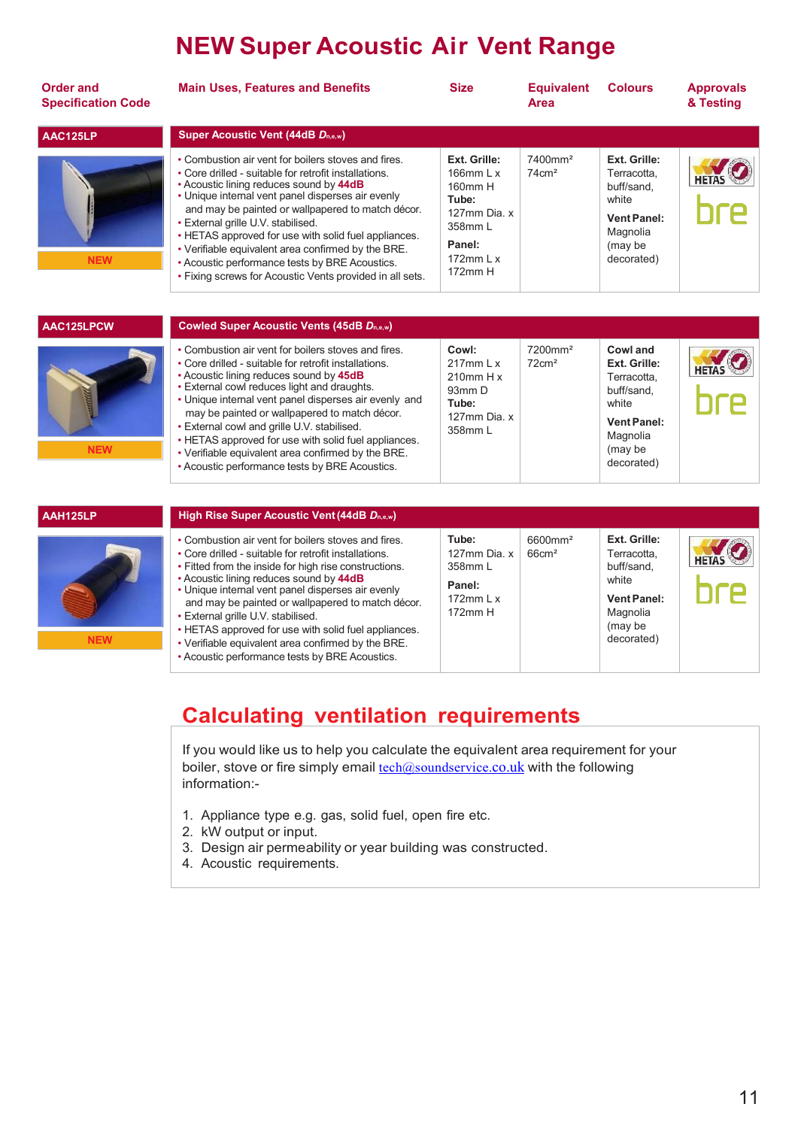## NEW Super Acoustic Air Vent Range

| <b>Order and</b><br><b>Specification Code</b> | <b>Main Uses, Features and Benefits</b>                                                                                                                                                                                                                                                                                                                                                                                                                                                                                             | <b>Size</b>                                                                                                     | <b>Equivalent</b><br><b>Area</b>        | <b>Colours</b>                                                                                                            | <b>Approvals</b><br>& Testing |
|-----------------------------------------------|-------------------------------------------------------------------------------------------------------------------------------------------------------------------------------------------------------------------------------------------------------------------------------------------------------------------------------------------------------------------------------------------------------------------------------------------------------------------------------------------------------------------------------------|-----------------------------------------------------------------------------------------------------------------|-----------------------------------------|---------------------------------------------------------------------------------------------------------------------------|-------------------------------|
| AAC125LP                                      | <b>Super Acoustic Vent (44dB Dn,e,w)</b>                                                                                                                                                                                                                                                                                                                                                                                                                                                                                            |                                                                                                                 |                                         |                                                                                                                           |                               |
| <b>NEW</b>                                    | • Combustion air vent for boilers stoves and fires.<br>• Core drilled - suitable for retrofit installations.<br>• Acoustic lining reduces sound by 44dB<br>• Unique internal vent panel disperses air evenly<br>and may be painted or wallpapered to match décor.<br>• External grille U.V. stabilised.<br>• HETAS approved for use with solid fuel appliances.<br>• Verifiable equivalent area confirmed by the BRE.<br>• Acoustic performance tests by BRE Acoustics.<br>. Fixing screws for Acoustic Vents provided in all sets. | Ext. Grille:<br>166 $mm$ L $x$<br>160mm H<br>Tube:<br>127mm Dia. x<br>358mm L<br>Panel:<br>172mm L x<br>172mm H | 7400mm <sup>2</sup><br>$74 \text{cm}^2$ | Ext. Grille:<br>Terracotta.<br>buff/sand.<br>white<br>Vent Panel:<br>Magnolia<br>(may be<br>decorated)                    |                               |
| AAC125LPCW                                    | <b>Cowled Super Acoustic Vents (45dB Dn,e,w)</b>                                                                                                                                                                                                                                                                                                                                                                                                                                                                                    |                                                                                                                 |                                         |                                                                                                                           |                               |
| <b>NEW</b>                                    | • Combustion air vent for boilers stoves and fires.<br>• Core drilled - suitable for retrofit installations.<br>• Acoustic lining reduces sound by 45dB<br>• External cowl reduces light and draughts.<br>• Unique internal vent panel disperses air evenly and<br>may be painted or wallpapered to match décor.<br>• External cowl and grille U.V. stabilised.<br>• HETAS approved for use with solid fuel appliances.<br>• Verifiable equivalent area confirmed by the BRE.<br>• Acoustic performance tests by BRE Acoustics.     | Cowl:<br>$217$ mm L x<br>$210$ mm H x<br>93mm D<br>Tube:<br>127mm Dia. x<br>358mm L                             | 7200mm <sup>2</sup><br>$72 \text{cm}^2$ | Cowl and<br>Ext. Grille:<br>Terracotta.<br>buff/sand.<br>white<br><b>Vent Panel:</b><br>Magnolia<br>(may be<br>decorated) | <b>HETAS</b>                  |
| AAH125LP                                      | High Rise Super Acoustic Vent (44dB Dn,e,w)                                                                                                                                                                                                                                                                                                                                                                                                                                                                                         |                                                                                                                 |                                         |                                                                                                                           |                               |
|                                               | • Combustion air vent for boilers stoves and fires.<br>• Core drilled - suitable for retrofit installations.<br>• Fitted from the inside for high rise constructions.<br>• Acoustic lining reduces sound by 44dB<br>• Unique internal vent panel disperses air evenly<br>and may be painted or wallpapered to match décor.<br>• External grille U.V. stabilised.<br>$\bullet$ HETAS annroved for use with solid fuel annliances                                                                                                     | Tube:<br>127mm Dia. x<br>358mm L<br>Panel:<br>172 $mm L x$<br>172mm H                                           | 6600mm <sup>2</sup><br>$66 \text{cm}^2$ | Ext. Grille:<br>Terracotta.<br>buff/sand.<br>white<br><b>Vent Panel:</b><br>Magnolia<br>(may be                           |                               |

NEW

Calculating ventilation requirements

If you would like us to help you calculate the equivalent area requirement for your boiler, stove or fire simply email <u>tech@soundservice.co.uk</u> with the following information:-

1. Appliance type e.g. gas, solid fuel, open fire etc.

• HETAS approved for use with solid fuel appliances. • Verifiable equivalent area confirmed by the BRE. • Acoustic performance tests by BRE Acoustics.

- 2. kW output or input.
- 3. Design air permeability or year building was constructed.
- 4. Acoustic requirements.

decorated)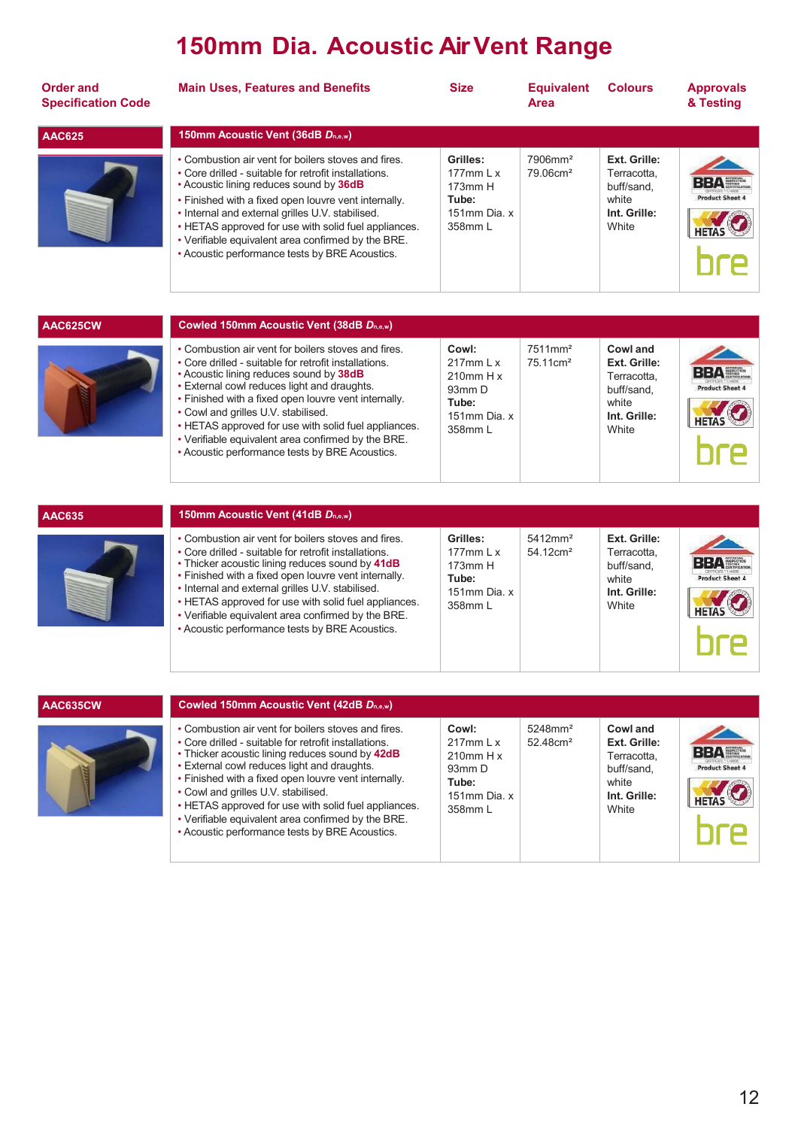## 150mm Dia. Acoustic Air Vent Range Range

| <b>Order and</b><br><b>Specification Code</b> | <b>Main Uses, Features and Benefits</b>                                                                                                                                                                                                                                                                                                                                                                                             | <b>Size</b>                                                                  | <b>Equivalent</b><br><b>Area</b>               | <b>Colours</b>                                                              | <b>Approvals</b><br>& Testing        |
|-----------------------------------------------|-------------------------------------------------------------------------------------------------------------------------------------------------------------------------------------------------------------------------------------------------------------------------------------------------------------------------------------------------------------------------------------------------------------------------------------|------------------------------------------------------------------------------|------------------------------------------------|-----------------------------------------------------------------------------|--------------------------------------|
| <b>AAC625</b>                                 | 150mm Acoustic Vent (36dB Dn.e.w)                                                                                                                                                                                                                                                                                                                                                                                                   |                                                                              |                                                |                                                                             |                                      |
|                                               | • Combustion air vent for boilers stoves and fires.<br>• Core drilled - suitable for retrofit installations.<br>• Acoustic lining reduces sound by 36dB<br>• Finished with a fixed open louvre vent internally.<br>• Internal and external grilles U.V. stabilised.<br>• HETAS approved for use with solid fuel appliances.<br>• Verifiable equivalent area confirmed by the BRE.<br>• Acoustic performance tests by BRE Acoustics. | Grilles:<br>$177$ mm L x<br>$173$ mm $H$<br>Tube:<br>151mm Dia. x<br>358mm L | $7906$ mm <sup>2</sup><br>79.06cm <sup>2</sup> | Ext. Grille:<br>Terracotta,<br>buff/sand.<br>white<br>Int. Grille:<br>White | <b>BBA</b><br><b>Product Sheet 4</b> |

| Cowled 150mm Acoustic Vent (38dB Dn,e,w)                                                                                                                                                                                                                                                                                                                                                                                                                              |                                                                                       |                                             |                                                                                         |                                      |
|-----------------------------------------------------------------------------------------------------------------------------------------------------------------------------------------------------------------------------------------------------------------------------------------------------------------------------------------------------------------------------------------------------------------------------------------------------------------------|---------------------------------------------------------------------------------------|---------------------------------------------|-----------------------------------------------------------------------------------------|--------------------------------------|
| • Combustion air vent for boilers stoves and fires.<br>• Core drilled - suitable for retrofit installations.<br>• Acoustic lining reduces sound by 38dB<br>• External cowl reduces light and draughts.<br>. Finished with a fixed open louvre vent internally.<br>• Cowl and grilles U.V. stabilised.<br>• HETAS approved for use with solid fuel appliances.<br>• Verifiable equivalent area confirmed by the BRE.<br>• Acoustic performance tests by BRE Acoustics. | Cowl:<br>$217$ mm L x<br>$210$ mm H x<br>$93mm$ D<br>Tube:<br>151mm Dia. x<br>358mm L | 7511mm <sup>2</sup><br>75.11cm <sup>2</sup> | Cowl and<br>Ext. Grille:<br>Terracotta.<br>buff/sand.<br>white<br>Int. Grille:<br>White | <b>BBA</b><br><b>Product Sheet 4</b> |



AAC625CW

| 150mm Acoustic Vent (41dB $D_{n,e,w}$ )                                                                                                                                                                                                                                                                                                                                                                                                     |                                                                                                |                                                |                                                                             |                        |
|---------------------------------------------------------------------------------------------------------------------------------------------------------------------------------------------------------------------------------------------------------------------------------------------------------------------------------------------------------------------------------------------------------------------------------------------|------------------------------------------------------------------------------------------------|------------------------------------------------|-----------------------------------------------------------------------------|------------------------|
| • Combustion air vent for boilers stoves and fires.<br>• Core drilled - suitable for retrofit installations.<br>. Thicker acoustic lining reduces sound by 41dB<br>• Finished with a fixed open louvre vent internally.<br>• Internal and external grilles U.V. stabilised.<br>• HETAS approved for use with solid fuel appliances.<br>• Verifiable equivalent area confirmed by the BRE.<br>• Acoustic performance tests by BRE Acoustics. | Grilles:<br>$177$ mm $\frac{1}{x}$<br>173mm H<br>Tube:<br>151 $mm$ Dia $x$<br>$358$ mm $\vert$ | $5412$ mm <sup>2</sup><br>54 12cm <sup>2</sup> | Ext. Grille:<br>Terracotta.<br>buff/sand.<br>white<br>Int. Grille:<br>White | <b>Product Sheet 4</b> |

| AAC635CW | Cowled 150mm Acoustic Vent (42dB Dn.e.w)                                                                                                                                                                                                                                                                                                                                                                                                                                      |                                                                                                          |                                                   |                                                                                         |                                                           |
|----------|-------------------------------------------------------------------------------------------------------------------------------------------------------------------------------------------------------------------------------------------------------------------------------------------------------------------------------------------------------------------------------------------------------------------------------------------------------------------------------|----------------------------------------------------------------------------------------------------------|---------------------------------------------------|-----------------------------------------------------------------------------------------|-----------------------------------------------------------|
|          | • Combustion air vent for boilers stoves and fires.<br>• Core drilled - suitable for retrofit installations.<br>• Thicker acoustic lining reduces sound by 42dB<br>• External cowl reduces light and draughts.<br>• Finished with a fixed open louvre vent internally.<br>• Cowl and grilles U.V. stabilised.<br>• HETAS approved for use with solid fuel appliances.<br>• Verifiable equivalent area confirmed by the BRE.<br>• Acoustic performance tests by BRE Acoustics. | Cowl:<br>$217$ mm $\frac{1}{x}$<br>$210$ mm H x<br>$93mm$ D<br>Tube:<br>151mm Dia. x<br>$358$ mm $\vert$ | $5248$ mm <sup>2</sup><br>$52.48$ cm <sup>2</sup> | Cowl and<br>Ext. Grille:<br>Terracotta.<br>buff/sand.<br>white<br>Int. Grille:<br>White | $B \rightarrow \Delta$ superior<br><b>Product Sheet 4</b> |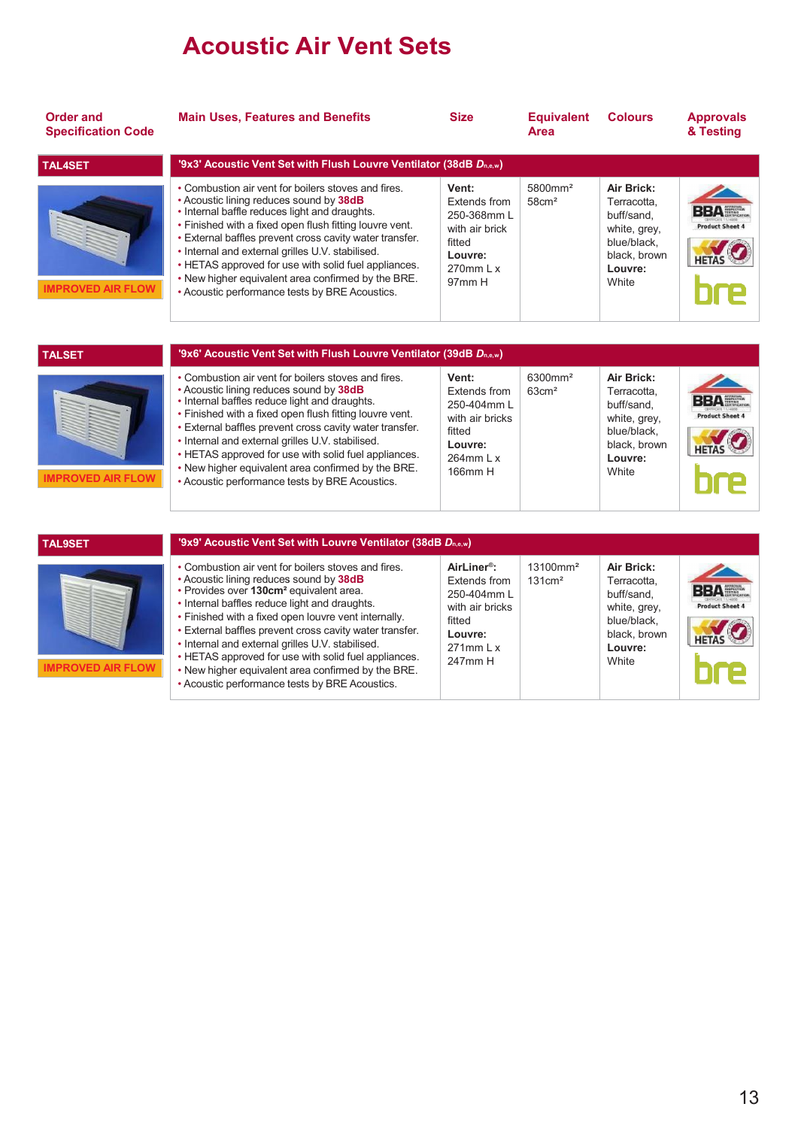## Acoustic Air Vent Sets

| <b>Order and</b><br><b>Specification Code</b> | <b>Main Uses, Features and Benefits</b>                                                                                                                                                                                                                                                                                                                                                                                                                                                                                                       | <b>Size</b>                                                                                                               | <b>Equivalent</b><br>Area                 | <b>Colours</b>                                                                                             | <b>Approvals</b><br>& Testing        |
|-----------------------------------------------|-----------------------------------------------------------------------------------------------------------------------------------------------------------------------------------------------------------------------------------------------------------------------------------------------------------------------------------------------------------------------------------------------------------------------------------------------------------------------------------------------------------------------------------------------|---------------------------------------------------------------------------------------------------------------------------|-------------------------------------------|------------------------------------------------------------------------------------------------------------|--------------------------------------|
| <b>TAL4SET</b>                                | '9x3' Acoustic Vent Set with Flush Louvre Ventilator (38dB Dn,e,w)                                                                                                                                                                                                                                                                                                                                                                                                                                                                            |                                                                                                                           |                                           |                                                                                                            |                                      |
| <b>IMPROVED AIR FLOW</b>                      | • Combustion air vent for boilers stoves and fires.<br>• Acoustic lining reduces sound by 38dB<br>. Internal baffle reduces light and draughts.<br>• Finished with a fixed open flush fitting louvre vent.<br>. External baffles prevent cross cavity water transfer.<br>• Internal and external grilles U.V. stabilised.<br>• HETAS approved for use with solid fuel appliances.<br>. New higher equivalent area confirmed by the BRE.<br>• Acoustic performance tests by BRE Acoustics.                                                     | Vent:<br><b>Extends from</b><br>250-368mm L<br>with air brick<br>fitted<br>Louvre:<br>$270$ mm L x<br>97 <sub>mm</sub> H  | 5800mm <sup>2</sup><br>58cm <sup>2</sup>  | Air Brick:<br>Terracotta.<br>buff/sand.<br>white, grey,<br>blue/black.<br>black, brown<br>Louvre:<br>White | <b>Product Sheet 4</b>               |
|                                               |                                                                                                                                                                                                                                                                                                                                                                                                                                                                                                                                               |                                                                                                                           |                                           |                                                                                                            |                                      |
| <b>TALSET</b>                                 | '9x6' Acoustic Vent Set with Flush Louvre Ventilator (39dB Dn,e,w)                                                                                                                                                                                                                                                                                                                                                                                                                                                                            |                                                                                                                           |                                           |                                                                                                            |                                      |
| <b>IMPROVED AIR FLOW</b>                      | • Combustion air vent for boilers stoves and fires.<br>• Acoustic lining reduces sound by 38dB<br>• Internal baffles reduce light and draughts.<br>• Finished with a fixed open flush fitting louvre vent.<br>• External baffles prevent cross cavity water transfer.<br>• Internal and external grilles U.V. stabilised.<br>• HETAS approved for use with solid fuel appliances.<br>. New higher equivalent area confirmed by the BRE.<br>• Acoustic performance tests by BRE Acoustics.                                                     | Vent:<br>Extends from<br>250-404mm L<br>with air bricks<br>fitted<br>Louvre:<br>$264$ mm $\mid x$<br>166mm H              | 6300mm <sup>2</sup><br>$63 \text{cm}^2$   | Air Brick:<br>Terracotta.<br>buff/sand.<br>white, grey,<br>blue/black,<br>black, brown<br>Louvre:<br>White | <b>BBA</b><br><b>Product Sheet 4</b> |
|                                               |                                                                                                                                                                                                                                                                                                                                                                                                                                                                                                                                               |                                                                                                                           |                                           |                                                                                                            |                                      |
| <b>TAL9SET</b>                                | '9x9' Acoustic Vent Set with Louvre Ventilator (38dB Dn,e,w)                                                                                                                                                                                                                                                                                                                                                                                                                                                                                  |                                                                                                                           |                                           |                                                                                                            |                                      |
| <b>IMPROVED AIR FLOW</b>                      | • Combustion air vent for boilers stoves and fires.<br>• Acoustic lining reduces sound by 38dB<br>• Provides over 130cm <sup>2</sup> equivalent area.<br>• Internal baffles reduce light and draughts.<br>• Finished with a fixed open louvre vent internally.<br>• External baffles prevent cross cavity water transfer.<br>• Internal and external grilles U.V. stabilised.<br>• HETAS approved for use with solid fuel appliances.<br>. New higher equivalent area confirmed by the BRE.<br>• Acoustic performance tests by BRE Acoustics. | AirLiner <sup>®</sup> :<br>Extends from<br>250-404mm L<br>with air bricks<br>fitted<br>Louvre:<br>$271$ mm L x<br>247mm H | 13100mm <sup>2</sup><br>$131 \text{cm}^2$ | Air Brick:<br>Terracotta,<br>buff/sand.<br>white, grey,<br>blue/black.<br>black, brown<br>Louvre:<br>White | <b>BBA</b><br><b>Product Sheet 4</b> |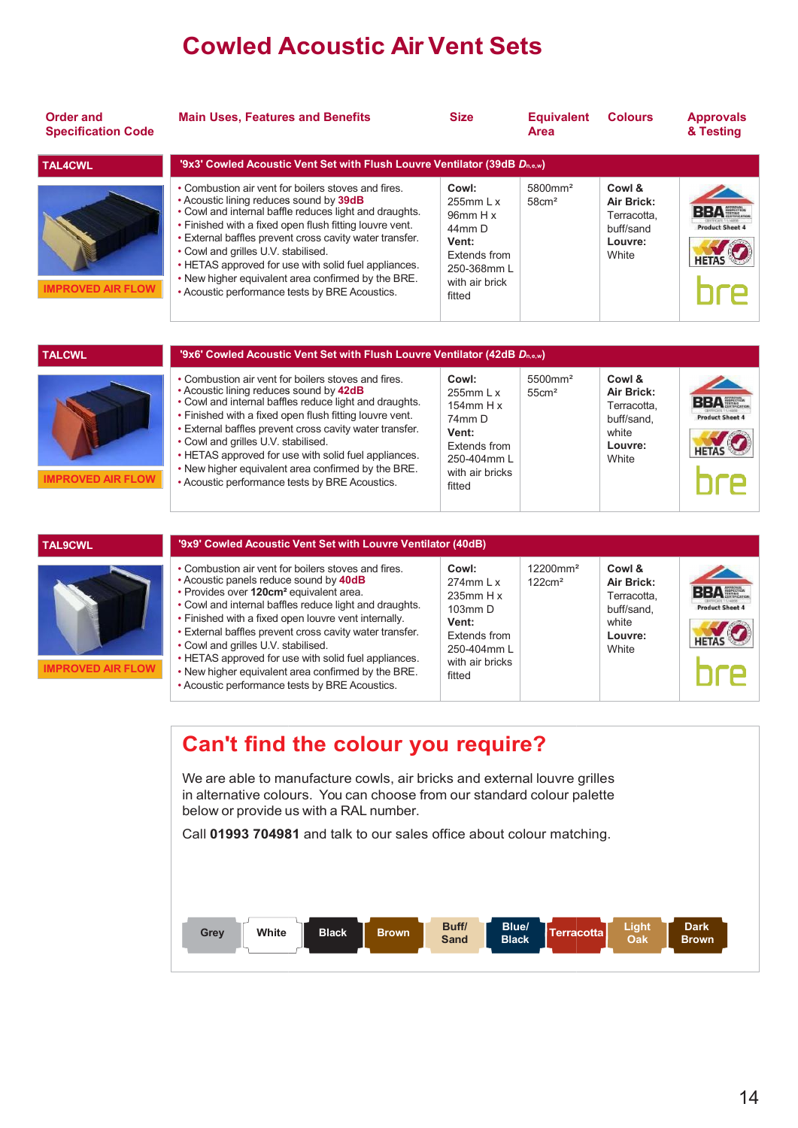## **Cowled Acoustic Air Vent Sets**

| <b>Order and</b><br><b>Specification Code</b> | <b>Main Uses, Features and Benefits</b>                                                                                                                                                                                                                                                                                                                                                                                                                                               | <b>Size</b>                                                                                                                           | <b>Equivalent</b><br>Area                | <b>Colours</b>                                                                 | <b>Approvals</b><br>& Testing |
|-----------------------------------------------|---------------------------------------------------------------------------------------------------------------------------------------------------------------------------------------------------------------------------------------------------------------------------------------------------------------------------------------------------------------------------------------------------------------------------------------------------------------------------------------|---------------------------------------------------------------------------------------------------------------------------------------|------------------------------------------|--------------------------------------------------------------------------------|-------------------------------|
| <b>TAL4CWL</b>                                | '9x3' Cowled Acoustic Vent Set with Flush Louvre Ventilator (39dB Dn,e,w)                                                                                                                                                                                                                                                                                                                                                                                                             |                                                                                                                                       |                                          |                                                                                |                               |
| <b>IMPROVED AIR FLOW</b>                      | • Combustion air vent for boilers stoves and fires.<br>• Acoustic lining reduces sound by 39dB<br>• Cowl and internal baffle reduces light and draughts.<br>. Finished with a fixed open flush fitting louvre vent.<br>. External baffles prevent cross cavity water transfer.<br>• Cowl and grilles U.V. stabilised.<br>• HETAS approved for use with solid fuel appliances.<br>. New higher equivalent area confirmed by the BRE.<br>• Acoustic performance tests by BRE Acoustics. | Cowl:<br>$255$ mm $\vert x \vert$<br>$96$ mm H x<br>44mm D<br>Vent:<br><b>Extends from</b><br>250-368mm L<br>with air brick<br>fitted | 5800mm <sup>2</sup><br>58cm <sup>2</sup> | Cowl &<br>Air Brick:<br>Terracotta,<br>buff/sand<br>Louvre:<br><b>White</b>    | <b>Product Sheet 4</b>        |
| <b>TALCWL</b>                                 | '9x6' Cowled Acoustic Vent Set with Flush Louvre Ventilator (42dB Dn,e,w)                                                                                                                                                                                                                                                                                                                                                                                                             |                                                                                                                                       |                                          |                                                                                |                               |
| <b>IMPROVED AIR FLOW</b>                      | • Combustion air vent for boilers stoves and fires.<br>• Acoustic lining reduces sound by 42dB<br>. Cowl and internal baffles reduce light and draughts.<br>. Finished with a fixed open flush fitting louvre vent.<br>. External baffles prevent cross cavity water transfer.<br>• Cowl and grilles U.V. stabilised.<br>• HETAS approved for use with solid fuel appliances.<br>. New higher equivalent area confirmed by the BRE.<br>• Acoustic performance tests by BRE Acoustics. | Cowl:<br>$255$ mm $\vert x \vert$<br>154 $mm$ H x<br>74mm D<br>Vent:<br>Extends from<br>250-404mm L<br>with air bricks<br>fitted      | 5500mm <sup>2</sup><br>55cm <sup>2</sup> | Cowl &<br>Air Brick:<br>Terracotta.<br>buff/sand.<br>white<br>Louvre:<br>White | вед<br><b>Product Sheet 4</b> |

| <b>TAL9CWL</b>           | '9x9' Cowled Acoustic Vent Set with Louvre Ventilator (40dB)                                                                                                                                                                                                                                                                                                                                                                                                                                                                             |                                                                                                                            |                                           |                                                                                |                                                      |
|--------------------------|------------------------------------------------------------------------------------------------------------------------------------------------------------------------------------------------------------------------------------------------------------------------------------------------------------------------------------------------------------------------------------------------------------------------------------------------------------------------------------------------------------------------------------------|----------------------------------------------------------------------------------------------------------------------------|-------------------------------------------|--------------------------------------------------------------------------------|------------------------------------------------------|
| <b>IMPROVED AIR FLOW</b> | • Combustion air vent for boilers stoves and fires.<br>. Acoustic panels reduce sound by 40dB<br>· Provides over 120cm <sup>2</sup> equivalent area.<br>• Cowl and internal baffles reduce light and draughts.<br>• Finished with a fixed open louvre vent internally.<br>• External baffles prevent cross cavity water transfer.<br>• Cowl and grilles U.V. stabilised.<br>• HETAS approved for use with solid fuel appliances.<br>. New higher equivalent area confirmed by the BRE.<br>• Acoustic performance tests by BRE Acoustics. | Cowl:<br>$274$ mm L x<br>$235$ mm H x<br>$103$ mm $D$<br>Vent:<br>Extends from<br>250-404mm L<br>with air bricks<br>fitted | 12200mm <sup>2</sup><br>$122 \text{cm}^2$ | Cowl &<br>Air Brick:<br>Terracotta,<br>buff/sand.<br>white<br>Louvre:<br>White | <b>BBA</b><br><b>Product Sheet 4</b><br><b>HETAS</b> |

#### Can't find the colour you require?

We are able to manufacture cowls, air bricks and external louvre grilles in alternative colours. You can choose from our standard colour palette below or provide us with a RAL number.

Call 01993 704981 and talk to our sales office about colour matching.